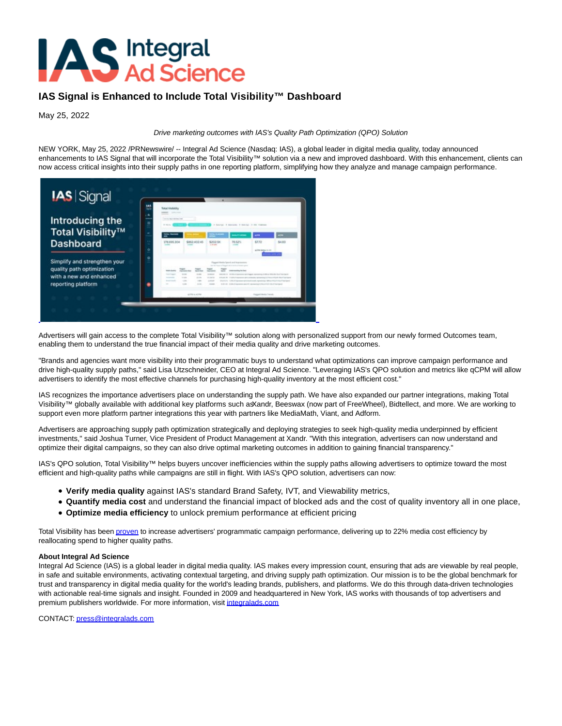## **AS** Integral<br>AS Ad Science

## **IAS Signal is Enhanced to Include Total Visibility™ Dashboard**

May 25, 2022

## Drive marketing outcomes with IAS's Quality Path Optimization (QPO) Solution

NEW YORK, May 25, 2022 /PRNewswire/ -- Integral Ad Science (Nasdaq: IAS), a global leader in digital media quality, today announced enhancements to IAS Signal that will incorporate the Total Visibility™ solution via a new and improved dashboard. With this enhancement, clients can now access critical insights into their supply paths in one reporting platform, simplifying how they analyze and manage campaign performance.



Advertisers will gain access to the complete Total Visibility™ solution along with personalized support from our newly formed Outcomes team, enabling them to understand the true financial impact of their media quality and drive marketing outcomes.

"Brands and agencies want more visibility into their programmatic buys to understand what optimizations can improve campaign performance and drive high-quality supply paths," said Lisa Utzschneider, CEO at Integral Ad Science. "Leveraging IAS's QPO solution and metrics like qCPM will allow advertisers to identify the most effective channels for purchasing high-quality inventory at the most efficient cost."

IAS recognizes the importance advertisers place on understanding the supply path. We have also expanded our partner integrations, making Total Visibility™ globally available with additional key platforms such a&andr, Beeswax (now part of FreeWheel), Bidtellect, and more. We are working to support even more platform partner integrations this year with partners like MediaMath, Viant, and Adform.

Advertisers are approaching supply path optimization strategically and deploying strategies to seek high-quality media underpinned by efficient investments," said Joshua Turner, Vice President of Product Management at Xandr. "With this integration, advertisers can now understand and optimize their digital campaigns, so they can also drive optimal marketing outcomes in addition to gaining financial transparency."

IAS's QPO solution, Total Visibility™ helps buyers uncover inefficiencies within the supply paths allowing advertisers to optimize toward the most efficient and high-quality paths while campaigns are still in flight. With IAS's QPO solution, advertisers can now:

- **Verify media quality** against IAS's standard Brand Safety, IVT, and Viewability metrics,
- **Quantify media cost** and understand the financial impact of blocked ads and the cost of quality inventory all in one place,
- **Optimize media efficiency** to unlock premium performance at efficient pricing

Total Visibility has bee[n proven t](https://c212.net/c/link/?t=0&l=en&o=3546946-1&h=2275938036&u=https%3A%2F%2Fintegralads.com%2Finsider%2Fsupply-path-case-study%2F&a=proven)o increase advertisers' programmatic campaign performance, delivering up to 22% media cost efficiency by reallocating spend to higher quality paths.

## **About Integral Ad Science**

Integral Ad Science (IAS) is a global leader in digital media quality. IAS makes every impression count, ensuring that ads are viewable by real people, in safe and suitable environments, activating contextual targeting, and driving supply path optimization. Our mission is to be the global benchmark for trust and transparency in digital media quality for the world's leading brands, publishers, and platforms. We do this through data-driven technologies with actionable real-time signals and insight. Founded in 2009 and headquartered in New York, IAS works with thousands of top advertisers and premium publishers worldwide. For more information, visi[t integralads.com](http://integralads.com/)

CONTACT[: press@integralads.com](mailto:press@integralads.com)